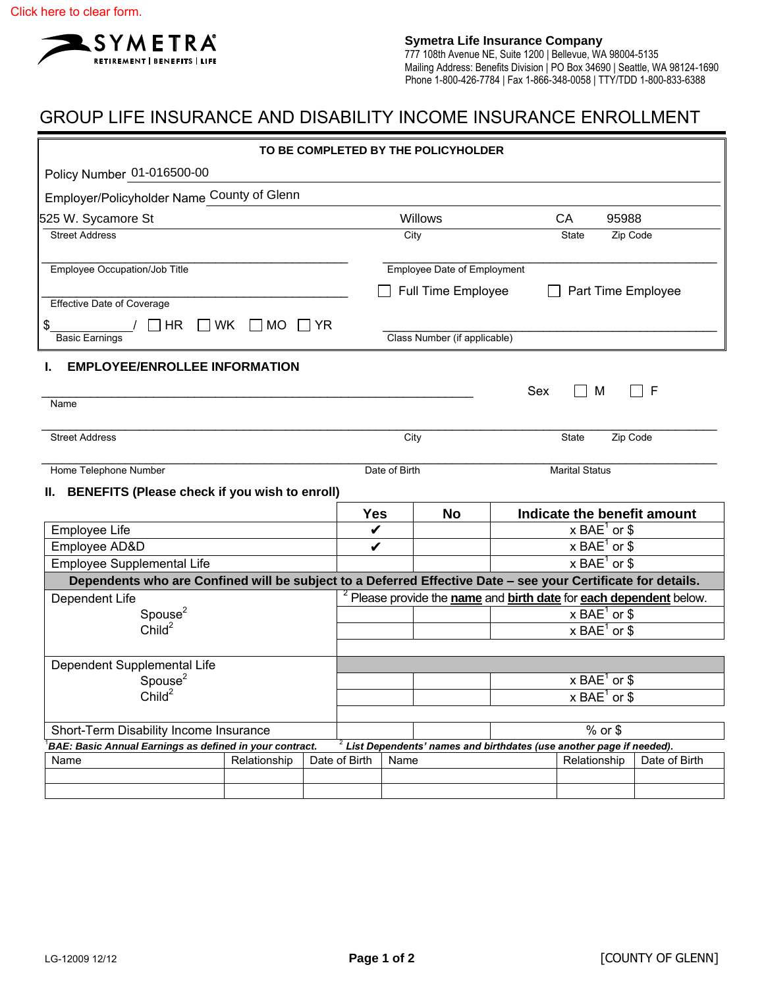

## GROUP LIFE INSURANCE AND DISABILITY INCOME INSURANCE ENROLLMENT

| TO BE COMPLETED BY THE POLICYHOLDER                                                                          |              |  |               |                                                                               |                                                                                   |     |                             |               |  |  |  |
|--------------------------------------------------------------------------------------------------------------|--------------|--|---------------|-------------------------------------------------------------------------------|-----------------------------------------------------------------------------------|-----|-----------------------------|---------------|--|--|--|
| Policy Number 01-016500-00                                                                                   |              |  |               |                                                                               |                                                                                   |     |                             |               |  |  |  |
| Employer/Policyholder Name County of Glenn                                                                   |              |  |               |                                                                               |                                                                                   |     |                             |               |  |  |  |
| 525 W. Sycamore St                                                                                           |              |  |               | Willows                                                                       |                                                                                   |     | CA<br>95988                 |               |  |  |  |
| <b>Street Address</b>                                                                                        |              |  | City          |                                                                               |                                                                                   |     | Zip Code<br>State           |               |  |  |  |
|                                                                                                              |              |  |               |                                                                               |                                                                                   |     |                             |               |  |  |  |
| Employee Occupation/Job Title                                                                                |              |  |               | <b>Employee Date of Employment</b>                                            |                                                                                   |     |                             |               |  |  |  |
| <b>Effective Date of Coverage</b>                                                                            |              |  |               | <b>Full Time Employee</b><br>Part Time Employee                               |                                                                                   |     |                             |               |  |  |  |
| $\Box$ HR $\Box$ WK<br>\$                                                                                    |              |  |               |                                                                               |                                                                                   |     |                             |               |  |  |  |
| $\Box$ MO $\Box$ YR<br>Class Number (if applicable)<br><b>Basic Earnings</b>                                 |              |  |               |                                                                               |                                                                                   |     |                             |               |  |  |  |
| <b>EMPLOYEE/ENROLLEE INFORMATION</b>                                                                         |              |  |               |                                                                               |                                                                                   |     |                             |               |  |  |  |
|                                                                                                              |              |  |               |                                                                               |                                                                                   | Sex | М                           | F             |  |  |  |
| Name                                                                                                         |              |  |               |                                                                               |                                                                                   |     |                             |               |  |  |  |
|                                                                                                              |              |  |               |                                                                               |                                                                                   |     |                             |               |  |  |  |
| <b>Street Address</b>                                                                                        |              |  |               | City<br>Zip Code<br>State                                                     |                                                                                   |     |                             |               |  |  |  |
| Home Telephone Number                                                                                        |              |  |               | Date of Birth<br><b>Marital Status</b>                                        |                                                                                   |     |                             |               |  |  |  |
| II. BENEFITS (Please check if you wish to enroll)                                                            |              |  |               |                                                                               |                                                                                   |     |                             |               |  |  |  |
|                                                                                                              |              |  | <b>Yes</b>    |                                                                               | <b>No</b>                                                                         |     | Indicate the benefit amount |               |  |  |  |
| Employee Life                                                                                                |              |  | V             |                                                                               |                                                                                   |     | $x$ BAE <sup>1</sup> or \$  |               |  |  |  |
| Employee AD&D                                                                                                |              |  |               | $x$ BAE <sup>1</sup> or \$<br>V                                               |                                                                                   |     |                             |               |  |  |  |
| Employee Supplemental Life                                                                                   |              |  |               | $x$ BAE <sup>1</sup> or \$                                                    |                                                                                   |     |                             |               |  |  |  |
| Dependents who are Confined will be subject to a Deferred Effective Date - see your Certificate for details. |              |  |               |                                                                               |                                                                                   |     |                             |               |  |  |  |
| Dependent Life                                                                                               |              |  |               | <sup>2</sup> Please provide the name and birth date for each dependent below. |                                                                                   |     |                             |               |  |  |  |
| Spouse $2$                                                                                                   |              |  |               | $x$ BAE <sup>1</sup> or \$                                                    |                                                                                   |     |                             |               |  |  |  |
| Child <sup>2</sup>                                                                                           |              |  |               |                                                                               |                                                                                   |     | $x$ BAE <sup>1</sup> or \$  |               |  |  |  |
|                                                                                                              |              |  |               |                                                                               |                                                                                   |     |                             |               |  |  |  |
| Dependent Supplemental Life                                                                                  |              |  |               |                                                                               |                                                                                   |     |                             |               |  |  |  |
| Spouse $2$                                                                                                   |              |  |               | $x$ BAE <sup>1</sup> or \$                                                    |                                                                                   |     |                             |               |  |  |  |
| Child <sup>2</sup>                                                                                           |              |  |               |                                                                               |                                                                                   |     | $x$ BAE <sup>1</sup> or \$  |               |  |  |  |
| Short-Term Disability Income Insurance                                                                       |              |  |               |                                                                               |                                                                                   |     | $%$ or \$                   |               |  |  |  |
| BAE: Basic Annual Earnings as defined in your contract.                                                      |              |  |               |                                                                               | $^{\text{2}}$ List Dependents' names and birthdates (use another page if needed). |     |                             |               |  |  |  |
| Name                                                                                                         | Relationship |  | Date of Birth | Name                                                                          |                                                                                   |     | Relationship                | Date of Birth |  |  |  |
|                                                                                                              |              |  |               |                                                                               |                                                                                   |     |                             |               |  |  |  |
|                                                                                                              |              |  |               |                                                                               |                                                                                   |     |                             |               |  |  |  |